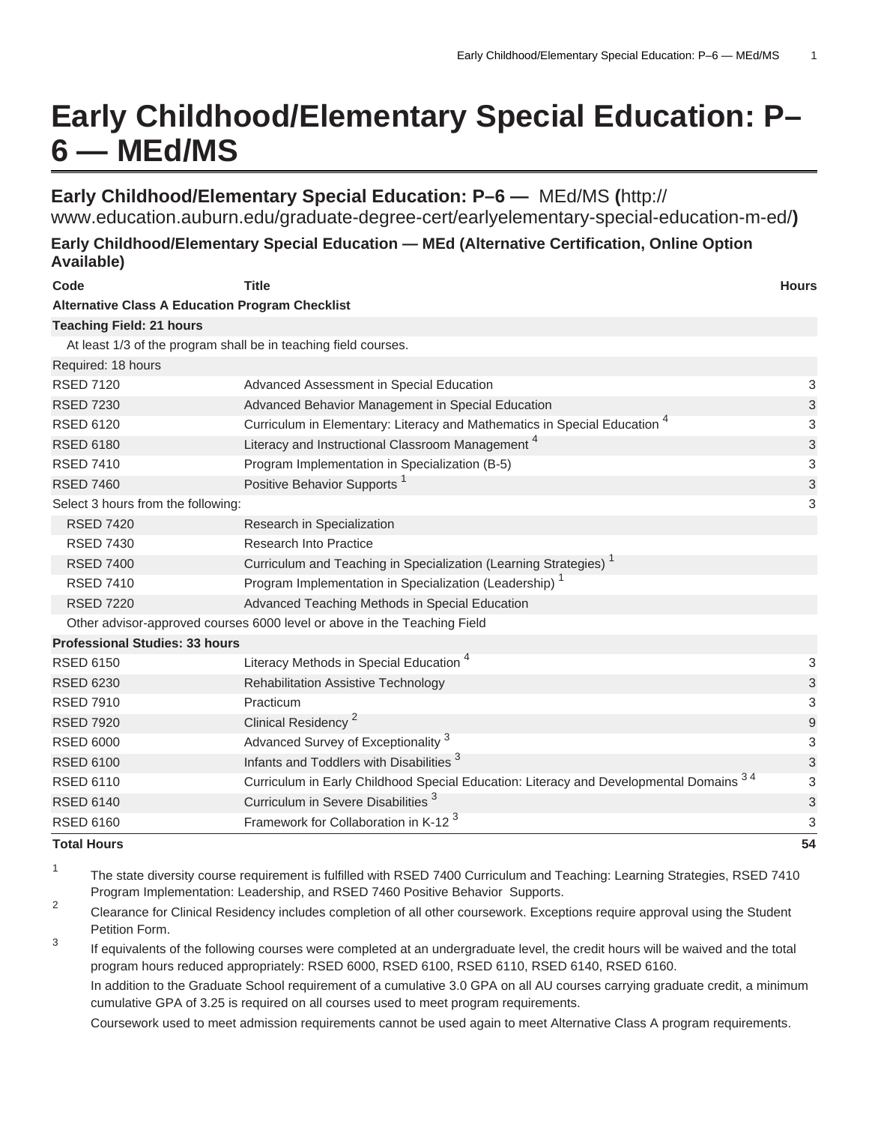# **Early Childhood/Elementary Special Education: P– 6 — MEd/MS**

## **Early Childhood/Elementary Special Education: P–6 —** [MEd/MS](http://www.education.auburn.edu/graduate-degree-cert/earlyelementary-special-education-m-ed/) **(**[http://](http://www.education.auburn.edu/graduate-degree-cert/earlyelementary-special-education-m-ed/)

[www.education.auburn.edu/graduate-degree-cert/earlyelementary-special-education-m-ed/](http://www.education.auburn.edu/graduate-degree-cert/earlyelementary-special-education-m-ed/)**)**

### **Early Childhood/Elementary Special Education — MEd (Alternative Certification, Online Option Available)**

| Code                                                   | <b>Title</b>                                                                           | <b>Hours</b> |
|--------------------------------------------------------|----------------------------------------------------------------------------------------|--------------|
| <b>Alternative Class A Education Program Checklist</b> |                                                                                        |              |
| <b>Teaching Field: 21 hours</b>                        |                                                                                        |              |
|                                                        | At least 1/3 of the program shall be in teaching field courses.                        |              |
| Required: 18 hours                                     |                                                                                        |              |
| <b>RSED 7120</b>                                       | Advanced Assessment in Special Education                                               | 3            |
| <b>RSED 7230</b>                                       | Advanced Behavior Management in Special Education                                      | 3            |
| <b>RSED 6120</b>                                       | Curriculum in Elementary: Literacy and Mathematics in Special Education <sup>4</sup>   | 3            |
| <b>RSED 6180</b>                                       | Literacy and Instructional Classroom Management <sup>4</sup>                           | 3            |
| <b>RSED 7410</b>                                       | Program Implementation in Specialization (B-5)                                         | 3            |
| <b>RSED 7460</b>                                       | Positive Behavior Supports <sup>1</sup>                                                | 3            |
| Select 3 hours from the following:                     |                                                                                        | 3            |
| <b>RSED 7420</b>                                       | Research in Specialization                                                             |              |
| <b>RSED 7430</b>                                       | <b>Research Into Practice</b>                                                          |              |
| <b>RSED 7400</b>                                       | Curriculum and Teaching in Specialization (Learning Strategies) <sup>1</sup>           |              |
| <b>RSED 7410</b>                                       | Program Implementation in Specialization (Leadership) <sup>1</sup>                     |              |
| <b>RSED 7220</b>                                       | Advanced Teaching Methods in Special Education                                         |              |
|                                                        | Other advisor-approved courses 6000 level or above in the Teaching Field               |              |
| <b>Professional Studies: 33 hours</b>                  |                                                                                        |              |
| <b>RSED 6150</b>                                       | Literacy Methods in Special Education <sup>4</sup>                                     | 3            |
| <b>RSED 6230</b>                                       | <b>Rehabilitation Assistive Technology</b>                                             | 3            |
| <b>RSED 7910</b>                                       | Practicum                                                                              | 3            |
| <b>RSED 7920</b>                                       | Clinical Residency <sup>2</sup>                                                        | $9\,$        |
| <b>RSED 6000</b>                                       | Advanced Survey of Exceptionality <sup>3</sup>                                         | 3            |
| <b>RSED 6100</b>                                       | Infants and Toddlers with Disabilities <sup>3</sup>                                    | 3            |
| <b>RSED 6110</b>                                       | Curriculum in Early Childhood Special Education: Literacy and Developmental Domains 34 | 3            |
| <b>RSED 6140</b>                                       | Curriculum in Severe Disabilities <sup>3</sup>                                         | 3            |
| <b>RSED 6160</b>                                       | Framework for Collaboration in K-12 <sup>3</sup>                                       | 3            |
| <b>Total Hours</b>                                     |                                                                                        | 54           |

1 The state diversity course requirement is fulfilled with RSED 7400 Curriculum and Teaching: Learning Strategies, RSED 7410 Program Implementation: Leadership, and RSED 7460 Positive Behavior Supports.

 $\mathfrak{p}$ Clearance for Clinical Residency includes completion of all other coursework. Exceptions require approval using the Student Petition Form.

3 If equivalents of the following courses were completed at an undergraduate level, the credit hours will be waived and the total program hours reduced appropriately: RSED 6000, RSED 6100, RSED 6110, RSED 6140, RSED 6160.

In addition to the Graduate School requirement of a cumulative 3.0 GPA on all AU courses carrying graduate credit, a minimum cumulative GPA of 3.25 is required on all courses used to meet program requirements.

Coursework used to meet admission requirements cannot be used again to meet Alternative Class A program requirements.